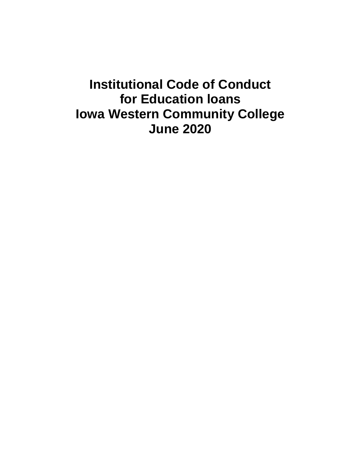# **Institutional Code of Conduct for Education loans Iowa Western Community College June 2020**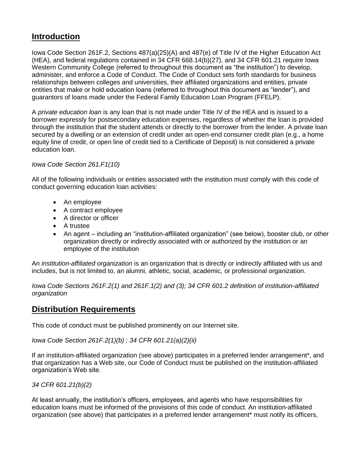# **Introduction**

Iowa Code Section 261F.2, Sections 487(a)(25)(A) and 487(e) of Title IV of the Higher Education Act (HEA), and federal regulations contained in 34 CFR 668.14(b)(27), and 34 CFR 601.21 require Iowa Western Community College (referred to throughout this document as "the institution") to develop, administer, and enforce a Code of Conduct. The Code of Conduct sets forth standards for business relationships between colleges and universities, their affiliated organizations and entities, private entities that make or hold education loans (referred to throughout this document as "lender"), and guarantors of loans made under the Federal Family Education Loan Program (FFELP).

A *private education loan* is any loan that is not made under Title IV of the HEA and is issued to a borrower expressly for postsecondary education expenses, regardless of whether the loan is provided through the institution that the student attends or directly to the borrower from the lender. A private loan secured by a dwelling or an extension of credit under an open-end consumer credit plan (e.g., a home equity line of credit, or open line of credit tied to a Certificate of Deposit) is not considered a private education loan.

### *Iowa Code Section 261.F1(10)*

All of the following individuals or entities associated with the institution must comply with this code of conduct governing education loan activities:

- An employee
- A contract employee
- A director or officer
- A trustee
- An agent including an "institution-affiliated organization" (see below), booster club, or other organization directly or indirectly associated with or authorized by the institution or an employee of the institution

An *institution-affiliated organization* is an organization that is directly or indirectly affiliated with us and includes, but is not limited to, an alumni, athletic, social, academic, or professional organization.

*Iowa Code Sections 261F.2(1) and 261F.1(2) and (3); 34 CFR 601.2 definition of institution-affiliated organization*

### **Distribution Requirements**

This code of conduct must be published prominently on our Internet site.

*Iowa Code Section 261F.2(1)(b) ; 34 CFR 601.21(a)(2)(ii)*

If an institution-affiliated organization (see above) participates in a preferred lender arrangement\*, and that organization has a Web site, our Code of Conduct must be published on the institution-affiliated organization's Web site.

*34 CFR 601.21(b)(2)*

At least annually, the institution's officers, employees, and agents who have responsibilities for education loans must be informed of the provisions of this code of conduct. An institution-affiliated organization (see above) that participates in a preferred lender arrangement\* must notify its officers,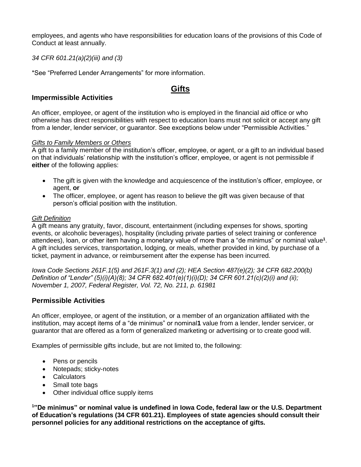employees, and agents who have responsibilities for education loans of the provisions of this Code of Conduct at least annually.

*34 CFR 601.21(a)(2)(iii) and (3)*

\*See "Preferred Lender Arrangements" for more information.

### **Gifts**

### **Impermissible Activities**

An officer, employee, or agent of the institution who is employed in the financial aid office or who otherwise has direct responsibilities with respect to education loans must not solicit or accept any gift from a lender, lender servicer, or guarantor. See exceptions below under "Permissible Activities."

### *Gifts to Family Members or Others*

A gift to a family member of the institution's officer, employee, or agent, or a gift to an individual based on that individuals' relationship with the institution's officer, employee, or agent is not permissible if **either** of the following applies:

- The gift is given with the knowledge and acquiescence of the institution's officer, employee, or agent, **or**
- The officer, employee, or agent has reason to believe the gift was given because of that person's official position with the institution.

### *Gift Definition*

A gift means any gratuity, favor, discount, entertainment (including expenses for shows, sporting events, or alcoholic beverages), hospitality (including private parties of select training or conference attendees), loan, or other item having a monetary value of more than a "de minimus" or nominal value**<sup>1</sup>** . A gift includes services, transportation, lodging, or meals, whether provided in kind, by purchase of a ticket, payment in advance, or reimbursement after the expense has been incurred.

*Iowa Code Sections 261F.1(5) and 261F.3(1) and (2); HEA Section 487(e)(2); 34 CFR 682.200(b) Definition of "Lender" (5)(i)(A)(8); 34 CFR 682.401(e)(1)(i)(D); 34 CFR 601.21(c)(2)(i) and (ii); November 1, 2007, Federal Register, Vol. 72, No. 211, p. 61981*

### **Permissible Activities**

An officer, employee, or agent of the institution, or a member of an organization affiliated with the institution, may accept items of a "de minimus" or nominal**1** value from a lender, lender servicer, or guarantor that are offered as a form of generalized marketing or advertising or to create good will.

Examples of permissible gifts include, but are not limited to, the following:

- Pens or pencils
- Notepads; sticky-notes
- Calculators
- Small tote bags
- Other individual office supply items

**<sup>1</sup>"De minimus" or nominal value is undefined in Iowa Code, federal law or the U.S. Department of Education's regulations (34 CFR 601.21). Employees of state agencies should consult their personnel policies for any additional restrictions on the acceptance of gifts.**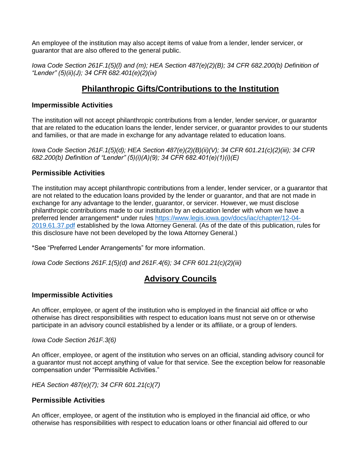An employee of the institution may also accept items of value from a lender, lender servicer, or guarantor that are also offered to the general public.

*Iowa Code Section 261F.1(5)(l) and (m); HEA Section 487(e)(2)(B); 34 CFR 682.200(b) Definition of "Lender" (5)(ii)(J); 34 CFR 682.401(e)(2)(ix)*

### **Philanthropic Gifts/Contributions to the Institution**

### **Impermissible Activities**

The institution will not accept philanthropic contributions from a lender, lender servicer, or guarantor that are related to the education loans the lender, lender servicer, or guarantor provides to our students and families, or that are made in exchange for any advantage related to education loans.

*Iowa Code Section 261F.1(5)(d); HEA Section 487(e)(2)(B)(ii)(V); 34 CFR 601.21(c)(2)(iii); 34 CFR 682.200(b) Definition of "Lender" (5)(i)(A)(9); 34 CFR 682.401(e)(1)(i)(E)*

### **Permissible Activities**

The institution may accept philanthropic contributions from a lender, lender servicer, or a guarantor that are not related to the education loans provided by the lender or guarantor, and that are not made in exchange for any advantage to the lender, guarantor, or servicer. However, we must disclose philanthropic contributions made to our institution by an education lender with whom we have a preferred lender arrangement\* under rules [https://www.legis.iowa.gov/docs/iac/chapter/12-04-](https://nam01.safelinks.protection.outlook.com/?url=https%3A%2F%2Fwww.legis.iowa.gov%2Fdocs%2Fiac%2Fchapter%2F12-04-2019.61.37.pdf&data=01%7C01%7Cadillard%40iwcc.edu%7Cec8dfcb41c4c484531e708d80bcf0dc4%7C7eea66dedd4a4767baa3ad04afdab700%7C0&sdata=T1WpZuxSDrkodHuc7G%2F0%2B%2BDOYWsWX5gz%2FoW2lGVqTwc%3D&reserved=0) [2019.61.37.pdf](https://nam01.safelinks.protection.outlook.com/?url=https%3A%2F%2Fwww.legis.iowa.gov%2Fdocs%2Fiac%2Fchapter%2F12-04-2019.61.37.pdf&data=01%7C01%7Cadillard%40iwcc.edu%7Cec8dfcb41c4c484531e708d80bcf0dc4%7C7eea66dedd4a4767baa3ad04afdab700%7C0&sdata=T1WpZuxSDrkodHuc7G%2F0%2B%2BDOYWsWX5gz%2FoW2lGVqTwc%3D&reserved=0) established by the Iowa Attorney General. (As of the date of this publication, rules for this disclosure have not been developed by the Iowa Attorney General.)

\*See "Preferred Lender Arrangements" for more information.

*Iowa Code Sections 261F.1(5)(d) and 261F.4(6); 34 CFR 601.21(c)(2)(iii)*

### **Advisory Councils**

### **Impermissible Activities**

An officer, employee, or agent of the institution who is employed in the financial aid office or who otherwise has direct responsibilities with respect to education loans must not serve on or otherwise participate in an advisory council established by a lender or its affiliate, or a group of lenders.

### *Iowa Code Section 261F.3(6)*

An officer, employee, or agent of the institution who serves on an official, standing advisory council for a guarantor must not accept anything of value for that service. See the exception below for reasonable compensation under "Permissible Activities."

*HEA Section 487(e)(7); 34 CFR 601.21(c)(7)*

### **Permissible Activities**

An officer, employee, or agent of the institution who is employed in the financial aid office, or who otherwise has responsibilities with respect to education loans or other financial aid offered to our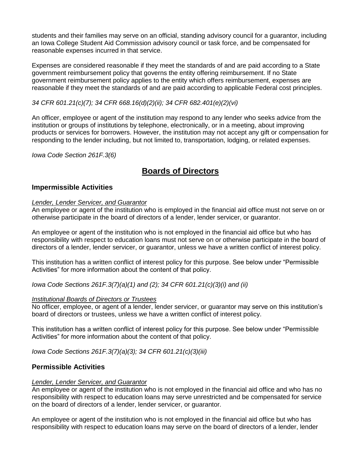students and their families may serve on an official, standing advisory council for a guarantor, including an Iowa College Student Aid Commission advisory council or task force, and be compensated for reasonable expenses incurred in that service.

Expenses are considered reasonable if they meet the standards of and are paid according to a State government reimbursement policy that governs the entity offering reimbursement. If no State government reimbursement policy applies to the entity which offers reimbursement, expenses are reasonable if they meet the standards of and are paid according to applicable Federal cost principles.

### *34 CFR 601.21(c)(7); 34 CFR 668.16(d)(2)(ii); 34 CFR 682.401(e)(2)(vi)*

An officer, employee or agent of the institution may respond to any lender who seeks advice from the institution or groups of institutions by telephone, electronically, or in a meeting, about improving products or services for borrowers. However, the institution may not accept any gift or compensation for responding to the lender including, but not limited to, transportation, lodging, or related expenses.

*Iowa Code Section 261F.3(6)*

### **Boards of Directors**

### **Impermissible Activities**

#### *Lender, Lender Servicer, and Guarantor*

An employee or agent of the institution who is employed in the financial aid office must not serve on or otherwise participate in the board of directors of a lender, lender servicer, or guarantor.

An employee or agent of the institution who is not employed in the financial aid office but who has responsibility with respect to education loans must not serve on or otherwise participate in the board of directors of a lender, lender servicer, or guarantor, unless we have a written conflict of interest policy.

This institution has a written conflict of interest policy for this purpose. See below under "Permissible Activities" for more information about the content of that policy.

*Iowa Code Sections 261F.3(7)(a)(1) and (2); 34 CFR 601.21(c)(3)(i) and (ii)*

#### *Institutional Boards of Directors or Trustees*

No officer, employee, or agent of a lender, lender servicer, or guarantor may serve on this institution's board of directors or trustees, unless we have a written conflict of interest policy.

This institution has a written conflict of interest policy for this purpose. See below under "Permissible Activities" for more information about the content of that policy.

*Iowa Code Sections 261F.3(7)(a)(3); 34 CFR 601.21(c)(3)(iii)*

### **Permissible Activities**

#### *Lender, Lender Servicer, and Guarantor*

An employee or agent of the institution who is not employed in the financial aid office and who has no responsibility with respect to education loans may serve unrestricted and be compensated for service on the board of directors of a lender, lender servicer, or guarantor.

An employee or agent of the institution who is not employed in the financial aid office but who has responsibility with respect to education loans may serve on the board of directors of a lender, lender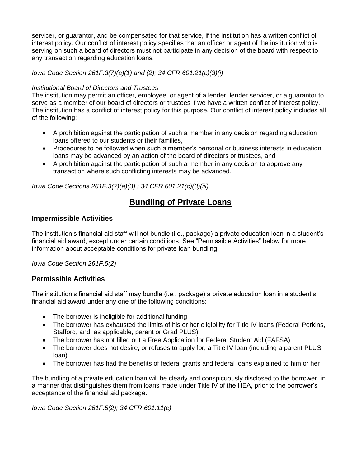servicer, or guarantor, and be compensated for that service, if the institution has a written conflict of interest policy. Our conflict of interest policy specifies that an officer or agent of the institution who is serving on such a board of directors must not participate in any decision of the board with respect to any transaction regarding education loans.

*Iowa Code Section 261F.3(7)(a)(1) and (2); 34 CFR 601.21(c)(3)(i)*

### *Institutional Board of Directors and Trustees*

The institution may permit an officer, employee, or agent of a lender, lender servicer, or a guarantor to serve as a member of our board of directors or trustees if we have a written conflict of interest policy. The institution has a conflict of interest policy for this purpose. Our conflict of interest policy includes all of the following:

- A prohibition against the participation of such a member in any decision regarding education loans offered to our students or their families,
- Procedures to be followed when such a member's personal or business interests in education loans may be advanced by an action of the board of directors or trustees, and
- A prohibition against the participation of such a member in any decision to approve any transaction where such conflicting interests may be advanced.

*Iowa Code Sections 261F.3(7)(a)(3) ; 34 CFR 601.21(c)(3)(iii)*

# **Bundling of Private Loans**

### **Impermissible Activities**

The institution's financial aid staff will not bundle (i.e., package) a private education loan in a student's financial aid award, except under certain conditions. See "Permissible Activities" below for more information about acceptable conditions for private loan bundling.

*Iowa Code Section 261F.5(2)*

### **Permissible Activities**

The institution's financial aid staff may bundle (i.e., package) a private education loan in a student's financial aid award under any one of the following conditions:

- The borrower is ineligible for additional funding
- The borrower has exhausted the limits of his or her eligibility for Title IV loans (Federal Perkins, Stafford, and, as applicable, parent or Grad PLUS)
- The borrower has not filled out a Free Application for Federal Student Aid (FAFSA)
- The borrower does not desire, or refuses to apply for, a Title IV loan (including a parent PLUS loan)
- The borrower has had the benefits of federal grants and federal loans explained to him or her

The bundling of a private education loan will be clearly and conspicuously disclosed to the borrower, in a manner that distinguishes them from loans made under Title IV of the HEA, prior to the borrower's acceptance of the financial aid package.

*Iowa Code Section 261F.5(2); 34 CFR 601.11(c)*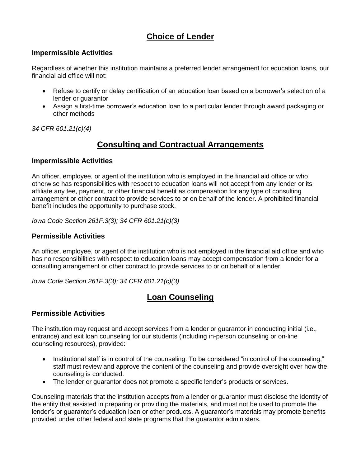# **Choice of Lender**

### **Impermissible Activities**

Regardless of whether this institution maintains a preferred lender arrangement for education loans, our financial aid office will not:

- Refuse to certify or delay certification of an education loan based on a borrower's selection of a lender or guarantor
- Assign a first-time borrower's education loan to a particular lender through award packaging or other methods

*34 CFR 601.21(c)(4)*

# **Consulting and Contractual Arrangements**

### **Impermissible Activities**

An officer, employee, or agent of the institution who is employed in the financial aid office or who otherwise has responsibilities with respect to education loans will not accept from any lender or its affiliate any fee, payment, or other financial benefit as compensation for any type of consulting arrangement or other contract to provide services to or on behalf of the lender. A prohibited financial benefit includes the opportunity to purchase stock.

*Iowa Code Section 261F.3(3); 34 CFR 601.21(c)(3)*

### **Permissible Activities**

An officer, employee, or agent of the institution who is not employed in the financial aid office and who has no responsibilities with respect to education loans may accept compensation from a lender for a consulting arrangement or other contract to provide services to or on behalf of a lender.

*Iowa Code Section 261F.3(3); 34 CFR 601.21(c)(3)*

# **Loan Counseling**

### **Permissible Activities**

The institution may request and accept services from a lender or guarantor in conducting initial (i.e., entrance) and exit loan counseling for our students (including in-person counseling or on-line counseling resources), provided:

- Institutional staff is in control of the counseling. To be considered "in control of the counseling," staff must review and approve the content of the counseling and provide oversight over how the counseling is conducted.
- The lender or guarantor does not promote a specific lender's products or services.

Counseling materials that the institution accepts from a lender or guarantor must disclose the identity of the entity that assisted in preparing or providing the materials, and must not be used to promote the lender's or guarantor's education loan or other products. A guarantor's materials may promote benefits provided under other federal and state programs that the guarantor administers.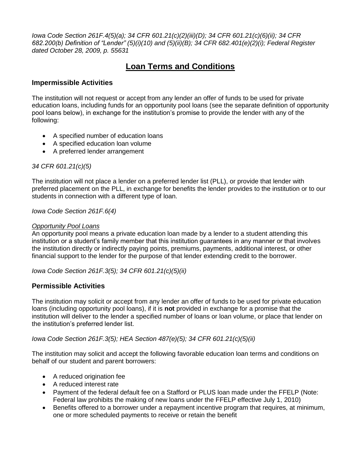*Iowa Code Section 261F.4(5)(a); 34 CFR 601.21(c)(2)(iii)(D); 34 CFR 601.21(c)(6)(ii); 34 CFR 682.200(b) Definition of "Lender" (5)(i)(10) and (5)(ii)(B); 34 CFR 682.401(e)(2)(i); Federal Register dated October 28, 2009, p. 55631*

# **Loan Terms and Conditions**

### **Impermissible Activities**

The institution will not request or accept from any lender an offer of funds to be used for private education loans, including funds for an opportunity pool loans (see the separate definition of opportunity pool loans below), in exchange for the institution's promise to provide the lender with any of the following:

- A specified number of education loans
- A specified education loan volume
- A preferred lender arrangement

### *34 CFR 601.21(c)(5)*

The institution will not place a lender on a preferred lender list (PLL), or provide that lender with preferred placement on the PLL, in exchange for benefits the lender provides to the institution or to our students in connection with a different type of loan.

*Iowa Code Section 261F.6(4)*

### *Opportunity Pool Loans*

An opportunity pool means a private education loan made by a lender to a student attending this institution or a student's family member that this institution guarantees in any manner or that involves the institution directly or indirectly paying points, premiums, payments, additional interest, or other financial support to the lender for the purpose of that lender extending credit to the borrower.

*Iowa Code Section 261F.3(5); 34 CFR 601.21(c)(5)(ii)*

### **Permissible Activities**

The institution may solicit or accept from any lender an offer of funds to be used for private education loans (including opportunity pool loans), if it is **not** provided in exchange for a promise that the institution will deliver to the lender a specified number of loans or loan volume, or place that lender on the institution's preferred lender list.

### *Iowa Code Section 261F.3(5); HEA Section 487(e)(5); 34 CFR 601.21(c)(5)(ii)*

The institution may solicit and accept the following favorable education loan terms and conditions on behalf of our student and parent borrowers:

- A reduced origination fee
- A reduced interest rate
- Payment of the federal default fee on a Stafford or PLUS loan made under the FFELP (Note: Federal law prohibits the making of new loans under the FFELP effective July 1, 2010)
- Benefits offered to a borrower under a repayment incentive program that requires, at minimum, one or more scheduled payments to receive or retain the benefit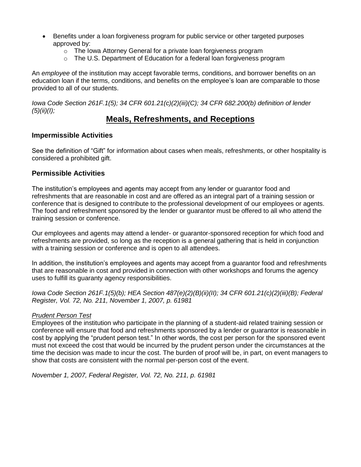- Benefits under a loan forgiveness program for public service or other targeted purposes approved by:
	- o The Iowa Attorney General for a private loan forgiveness program
	- o The U.S. Department of Education for a federal loan forgiveness program

An *employee* of the institution may accept favorable terms, conditions, and borrower benefits on an education loan if the terms, conditions, and benefits on the employee's loan are comparable to those provided to all of our students.

*Iowa Code Section 261F.1(5); 34 CFR 601.21(c)(2)(iii)(C); 34 CFR 682.200(b) definition of lender (5)(ii)(I);*

### **Meals, Refreshments, and Receptions**

### **Impermissible Activities**

See the definition of "Gift" for information about cases when meals, refreshments, or other hospitality is considered a prohibited gift.

### **Permissible Activities**

The institution's employees and agents may accept from any lender or guarantor food and refreshments that are reasonable in cost and are offered as an integral part of a training session or conference that is designed to contribute to the professional development of our employees or agents. The food and refreshment sponsored by the lender or guarantor must be offered to all who attend the training session or conference.

Our employees and agents may attend a lender- or guarantor-sponsored reception for which food and refreshments are provided, so long as the reception is a general gathering that is held in conjunction with a training session or conference and is open to all attendees.

In addition, the institution's employees and agents may accept from a guarantor food and refreshments that are reasonable in cost and provided in connection with other workshops and forums the agency uses to fulfill its guaranty agency responsibilities.

*Iowa Code Section 261F.1(5)(b); HEA Section 487(e)(2)(B)(ii)(II); 34 CFR 601.21(c)(2)(iii)(B); Federal Register, Vol. 72, No. 211, November 1, 2007, p. 61981*

### *Prudent Person Test*

Employees of the institution who participate in the planning of a student-aid related training session or conference will ensure that food and refreshments sponsored by a lender or guarantor is reasonable in cost by applying the "prudent person test." In other words, the cost per person for the sponsored event must not exceed the cost that would be incurred by the prudent person under the circumstances at the time the decision was made to incur the cost. The burden of proof will be, in part, on event managers to show that costs are consistent with the normal per-person cost of the event.

*November 1, 2007, Federal Register, Vol. 72, No. 211, p. 61981*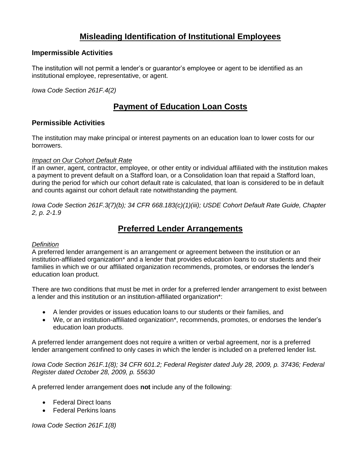# **Misleading Identification of Institutional Employees**

### **Impermissible Activities**

The institution will not permit a lender's or guarantor's employee or agent to be identified as an institutional employee, representative, or agent.

*Iowa Code Section 261F.4(2)*

# **Payment of Education Loan Costs**

### **Permissible Activities**

The institution may make principal or interest payments on an education loan to lower costs for our borrowers.

### *Impact on Our Cohort Default Rate*

If an owner, agent, contractor, employee, or other entity or individual affiliated with the institution makes a payment to prevent default on a Stafford loan, or a Consolidation loan that repaid a Stafford loan, during the period for which our cohort default rate is calculated, that loan is considered to be in default and counts against our cohort default rate notwithstanding the payment.

*Iowa Code Section 261F.3(7)(b); 34 CFR 668.183(c)(1)(iii); USDE Cohort Default Rate Guide, Chapter 2, p. 2-1.9*

### **Preferred Lender Arrangements**

### *Definition*

A preferred lender arrangement is an arrangement or agreement between the institution or an institution-affiliated organization\* and a lender that provides education loans to our students and their families in which we or our affiliated organization recommends, promotes, or endorses the lender's education loan product.

There are two conditions that must be met in order for a preferred lender arrangement to exist between a lender and this institution or an institution-affiliated organization\*:

- A lender provides or issues education loans to our students or their families, and
- We, or an institution-affiliated organization\*, recommends, promotes, or endorses the lender's education loan products.

A preferred lender arrangement does not require a written or verbal agreement, nor is a preferred lender arrangement confined to only cases in which the lender is included on a preferred lender list.

*Iowa Code Section 261F.1(8); 34 CFR 601.2; Federal Register dated July 28, 2009, p. 37436; Federal Register dated October 28, 2009, p. 55630*

A preferred lender arrangement does **not** include any of the following:

- Federal Direct loans
- Federal Perkins loans

*Iowa Code Section 261F.1(8)*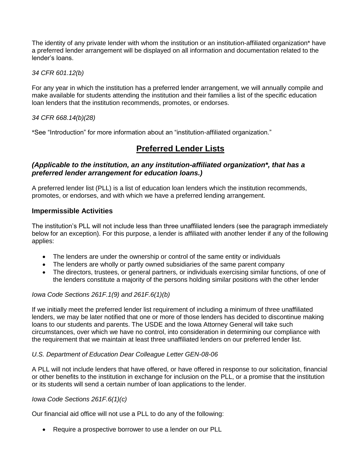The identity of any private lender with whom the institution or an institution-affiliated organization\* have a preferred lender arrangement will be displayed on all information and documentation related to the lender's loans.

*34 CFR 601.12(b)*

For any year in which the institution has a preferred lender arrangement, we will annually compile and make available for students attending the institution and their families a list of the specific education loan lenders that the institution recommends, promotes, or endorses.

*34 CFR 668.14(b)(28)*

\*See "Introduction" for more information about an "institution-affiliated organization."

### **Preferred Lender Lists**

### *(Applicable to the institution, an any institution-affiliated organization\*, that has a preferred lender arrangement for education loans.)*

A preferred lender list (PLL) is a list of education loan lenders which the institution recommends, promotes, or endorses, and with which we have a preferred lending arrangement.

### **Impermissible Activities**

The institution's PLL will not include less than three unaffiliated lenders (see the paragraph immediately below for an exception). For this purpose, a lender is affiliated with another lender if any of the following applies:

- The lenders are under the ownership or control of the same entity or individuals
- The lenders are wholly or partly owned subsidiaries of the same parent company
- The directors, trustees, or general partners, or individuals exercising similar functions, of one of the lenders constitute a majority of the persons holding similar positions with the other lender

#### *Iowa Code Sections 261F.1(9) and 261F.6(1)(b)*

If we initially meet the preferred lender list requirement of including a minimum of three unaffiliated lenders, we may be later notified that one or more of those lenders has decided to discontinue making loans to our students and parents. The USDE and the Iowa Attorney General will take such circumstances, over which we have no control, into consideration in determining our compliance with the requirement that we maintain at least three unaffiliated lenders on our preferred lender list.

#### *U.S. Department of Education Dear Colleague Letter GEN-08-06*

A PLL will not include lenders that have offered, or have offered in response to our solicitation, financial or other benefits to the institution in exchange for inclusion on the PLL, or a promise that the institution or its students will send a certain number of loan applications to the lender.

#### *Iowa Code Sections 261F.6(1)(c)*

Our financial aid office will not use a PLL to do any of the following:

Require a prospective borrower to use a lender on our PLL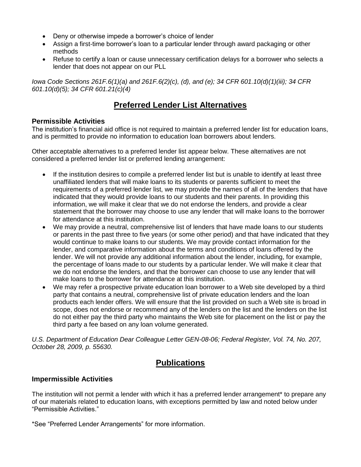- Deny or otherwise impede a borrower's choice of lender
- Assign a first-time borrower's loan to a particular lender through award packaging or other methods
- Refuse to certify a loan or cause unnecessary certification delays for a borrower who selects a lender that does not appear on our PLL

*Iowa Code Sections 261F.6(1)(a) and 261F.6(2)(c), (d), and (e); 34 CFR 601.10(d)(1)(iii); 34 CFR 601.10(d)(5); 34 CFR 601.21(c)(4)*

# **Preferred Lender List Alternatives**

### **Permissible Activities**

The institution's financial aid office is not required to maintain a preferred lender list for education loans, and is permitted to provide no information to education loan borrowers about lenders.

Other acceptable alternatives to a preferred lender list appear below. These alternatives are not considered a preferred lender list or preferred lending arrangement:

- If the institution desires to compile a preferred lender list but is unable to identify at least three unaffiliated lenders that will make loans to its students or parents sufficient to meet the requirements of a preferred lender list, we may provide the names of all of the lenders that have indicated that they would provide loans to our students and their parents. In providing this information, we will make it clear that we do not endorse the lenders, and provide a clear statement that the borrower may choose to use any lender that will make loans to the borrower for attendance at this institution.
- We may provide a neutral, comprehensive list of lenders that have made loans to our students or parents in the past three to five years (or some other period) and that have indicated that they would continue to make loans to our students. We may provide contact information for the lender, and comparative information about the terms and conditions of loans offered by the lender. We will not provide any additional information about the lender, including, for example, the percentage of loans made to our students by a particular lender. We will make it clear that we do not endorse the lenders, and that the borrower can choose to use any lender that will make loans to the borrower for attendance at this institution.
- We may refer a prospective private education loan borrower to a Web site developed by a third party that contains a neutral, comprehensive list of private education lenders and the loan products each lender offers. We will ensure that the list provided on such a Web site is broad in scope, does not endorse or recommend any of the lenders on the list and the lenders on the list do not either pay the third party who maintains the Web site for placement on the list or pay the third party a fee based on any loan volume generated.

*U.S. Department of Education Dear Colleague Letter GEN-08-06; Federal Register, Vol. 74, No. 207, October 28, 2009, p. 55630.*

# **Publications**

### **Impermissible Activities**

The institution will not permit a lender with which it has a preferred lender arrangement\* to prepare any of our materials related to education loans, with exceptions permitted by law and noted below under "Permissible Activities."

\*See "Preferred Lender Arrangements" for more information.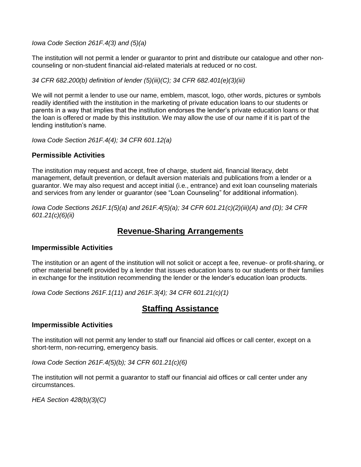*Iowa Code Section 261F.4(3) and (5)(a)*

The institution will not permit a lender or guarantor to print and distribute our catalogue and other noncounseling or non-student financial aid-related materials at reduced or no cost.

*34 CFR 682.200(b) definition of lender (5)(iii)(C); 34 CFR 682.401(e)(3)(iii)*

We will not permit a lender to use our name, emblem, mascot, logo, other words, pictures or symbols readily identified with the institution in the marketing of private education loans to our students or parents in a way that implies that the institution endorses the lender's private education loans or that the loan is offered or made by this institution. We may allow the use of our name if it is part of the lending institution's name.

*Iowa Code Section 261F.4(4); 34 CFR 601.12(a)*

### **Permissible Activities**

The institution may request and accept, free of charge, student aid, financial literacy, debt management, default prevention, or default aversion materials and publications from a lender or a guarantor. We may also request and accept initial (i.e., entrance) and exit loan counseling materials and services from any lender or guarantor (see "Loan Counseling" for additional information).

*Iowa Code Sections 261F.1(5)(a) and 261F.4(5)(a); 34 CFR 601.21(c)(2)(iii)(A) and (D); 34 CFR 601.21(c)(6)(ii)*

### **Revenue-Sharing Arrangements**

### **Impermissible Activities**

The institution or an agent of the institution will not solicit or accept a fee, revenue- or profit-sharing, or other material benefit provided by a lender that issues education loans to our students or their families in exchange for the institution recommending the lender or the lender's education loan products.

*Iowa Code Sections 261F.1(11) and 261F.3(4); 34 CFR 601.21(c)(1)*

### **Staffing Assistance**

### **Impermissible Activities**

The institution will not permit any lender to staff our financial aid offices or call center, except on a short-term, non-recurring, emergency basis.

*Iowa Code Section 261F.4(5)(b); 34 CFR 601.21(c)(6)*

The institution will not permit a guarantor to staff our financial aid offices or call center under any circumstances.

*HEA Section 428(b)(3)(C)*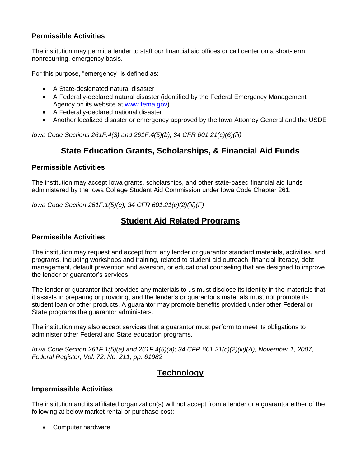### **Permissible Activities**

The institution may permit a lender to staff our financial aid offices or call center on a short-term, nonrecurring, emergency basis.

For this purpose, "emergency" is defined as:

- A State-designated natural disaster
- A Federally-declared natural disaster (identified by the Federal Emergency Management Agency on its website at www.fema.gov)
- A Federally-declared national disaster
- Another localized disaster or emergency approved by the Iowa Attorney General and the USDE

*Iowa Code Sections 261F.4(3) and 261F.4(5)(b); 34 CFR 601.21(c)(6)(iii)*

### **State Education Grants, Scholarships, & Financial Aid Funds**

### **Permissible Activities**

The institution may accept Iowa grants, scholarships, and other state-based financial aid funds administered by the Iowa College Student Aid Commission under Iowa Code Chapter 261.

*Iowa Code Section 261F.1(5)(e); 34 CFR 601.21(c)(2)(iii)(F)*

# **Student Aid Related Programs**

### **Permissible Activities**

The institution may request and accept from any lender or guarantor standard materials, activities, and programs, including workshops and training, related to student aid outreach, financial literacy, debt management, default prevention and aversion, or educational counseling that are designed to improve the lender or guarantor's services.

The lender or guarantor that provides any materials to us must disclose its identity in the materials that it assists in preparing or providing, and the lender's or guarantor's materials must not promote its student loan or other products. A guarantor may promote benefits provided under other Federal or State programs the guarantor administers.

The institution may also accept services that a guarantor must perform to meet its obligations to administer other Federal and State education programs.

*Iowa Code Section 261F.1(5)(a) and 261F.4(5)(a); 34 CFR 601.21(c)(2)(iii)(A); November 1, 2007, Federal Register, Vol. 72, No. 211, pp. 61982*

### **Technology**

### **Impermissible Activities**

The institution and its affiliated organization(s) will not accept from a lender or a guarantor either of the following at below market rental or purchase cost:

• Computer hardware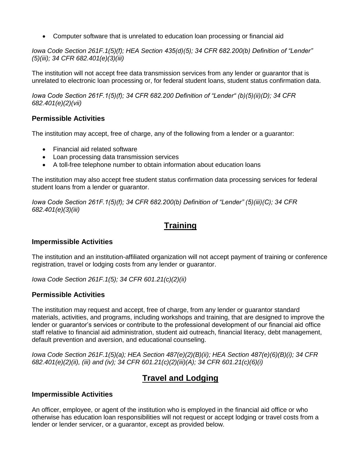Computer software that is unrelated to education loan processing or financial aid

*Iowa Code Section 261F.1(5)(f); HEA Section 435(d)(5); 34 CFR 682.200(b) Definition of "Lender" (5)(iii); 34 CFR 682.401(e)(3)(iii)*

The institution will not accept free data transmission services from any lender or guarantor that is unrelated to electronic loan processing or, for federal student loans, student status confirmation data.

*Iowa Code Section 261F.1(5)(f); 34 CFR 682.200 Definition of "Lender" (b)(5)(ii)(D); 34 CFR 682.401(e)(2)(vii)*

### **Permissible Activities**

The institution may accept, free of charge, any of the following from a lender or a guarantor:

- Financial aid related software
- Loan processing data transmission services
- A toll-free telephone number to obtain information about education loans

The institution may also accept free student status confirmation data processing services for federal student loans from a lender or guarantor.

*Iowa Code Section 261F.1(5)(f); 34 CFR 682.200(b) Definition of "Lender" (5)(iii)(C); 34 CFR 682.401(e)(3)(iii)*

# **Training**

### **Impermissible Activities**

The institution and an institution-affiliated organization will not accept payment of training or conference registration, travel or lodging costs from any lender or guarantor.

*Iowa Code Section 261F.1(5); 34 CFR 601.21(c)(2)(ii)*

### **Permissible Activities**

The institution may request and accept, free of charge, from any lender or guarantor standard materials, activities, and programs, including workshops and training, that are designed to improve the lender or guarantor's services or contribute to the professional development of our financial aid office staff relative to financial aid administration, student aid outreach, financial literacy, debt management, default prevention and aversion, and educational counseling.

*Iowa Code Section 261F.1(5)(a); HEA Section 487(e)(2)(B)(ii); HEA Section 487(e)(6)(B)(i); 34 CFR 682.401(e)(2)(ii), (iii) and (iv); 34 CFR 601.21(c)(2)(iii)(A); 34 CFR 601.21(c)(6)(i)*

# **Travel and Lodging**

### **Impermissible Activities**

An officer, employee, or agent of the institution who is employed in the financial aid office or who otherwise has education loan responsibilities will not request or accept lodging or travel costs from a lender or lender servicer, or a guarantor, except as provided below.